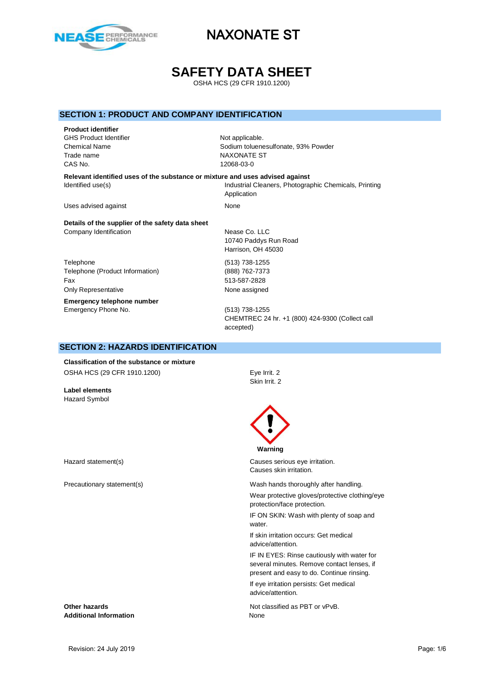

# **SAFETY DATA SHEET**

OSHA HCS (29 CFR 1910.1200)

### **SECTION 1: PRODUCT AND COMPANY IDENTIFICATION**

**Product identifier** GHS Product Identifier Not applicable. Trade name NAXONATE ST CAS No. 12068-03-0

Chemical Name Sodium toluenesulfonate, 93% Powder

**Relevant identified uses of the substance or mixture and uses advised against** Identified use(s) The Industrial Cleaners, Photographic Chemicals, Printing Application

Uses advised against None

**Details of the supplier of the safety data sheet** Company Identification **Nease Co.** LLC

Telephone (513) 738-1255 Telephone (Product Information) (888) 762-7373 Fax 513-587-2828 Only Representative **None** assigned **Emergency telephone number**

10740 Paddys Run Road Harrison, OH 45030

Emergency Phone No. (513) 738-1255 CHEMTREC 24 hr. +1 (800) 424-9300 (Collect call accepted)

### **SECTION 2: HAZARDS IDENTIFICATION**

**Classification of the substance or mixture** OSHA HCS (29 CFR 1910.1200) Eye Irrit. 2

**Label elements** Hazard Symbol

Skin Irrit. 2



#### **Warning**

Hazard statement(s) Causes serious eye irritation. Causes skin irritation.

Precautionary statement(s) Wash hands thoroughly after handling.

Wear protective gloves/protective clothing/eye protection/face protection.

IF ON SKIN: Wash with plenty of soap and water

If skin irritation occurs: Get medical advice/attention.

IF IN EYES: Rinse cautiously with water for several minutes. Remove contact lenses, if present and easy to do. Continue rinsing.

If eye irritation persists: Get medical advice/attention.

**Other hazards Other hazards Not classified as PBT or vPvB.** 

**Additional Information** None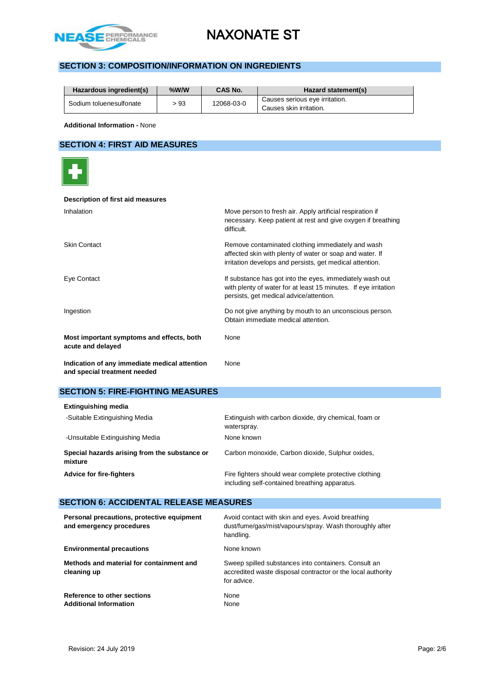

# **SECTION 3: COMPOSITION/INFORMATION ON INGREDIENTS**

| Hazardous ingredient(s) | $%$ W/W | CAS No.    | Hazard statement(s)                                       |
|-------------------------|---------|------------|-----------------------------------------------------------|
| Sodium toluenesulfonate | > 93    | 12068-03-0 | Causes serious eye irritation.<br>Causes skin irritation. |

**Additional Information -** None

### **SECTION 4: FIRST AID MEASURES**



#### **Description of first aid measures**

| Inhalation                                                                    | Move person to fresh air. Apply artificial respiration if<br>necessary. Keep patient at rest and give oxygen if breathing<br>difficult.                                   |
|-------------------------------------------------------------------------------|---------------------------------------------------------------------------------------------------------------------------------------------------------------------------|
| <b>Skin Contact</b>                                                           | Remove contaminated clothing immediately and wash<br>affected skin with plenty of water or soap and water. If<br>irritation develops and persists, get medical attention. |
| Eye Contact                                                                   | If substance has got into the eyes, immediately wash out<br>with plenty of water for at least 15 minutes. If eye irritation<br>persists, get medical advice/attention.    |
| Ingestion                                                                     | Do not give anything by mouth to an unconscious person.<br>Obtain immediate medical attention.                                                                            |
| Most important symptoms and effects, both<br>acute and delayed                | None                                                                                                                                                                      |
| Indication of any immediate medical attention<br>and special treatment needed | None                                                                                                                                                                      |

# **SECTION 5: FIRE-FIGHTING MEASURES**

| <b>Extinguishing media</b>                               |                                                                                                         |
|----------------------------------------------------------|---------------------------------------------------------------------------------------------------------|
| -Suitable Extinguishing Media                            | Extinguish with carbon dioxide, dry chemical, foam or<br>waterspray.                                    |
| -Unsuitable Extinguishing Media                          | None known                                                                                              |
| Special hazards arising from the substance or<br>mixture | Carbon monoxide, Carbon dioxide, Sulphur oxides,                                                        |
| <b>Advice for fire-fighters</b>                          | Fire fighters should wear complete protective clothing<br>including self-contained breathing apparatus. |

### **SECTION 6: ACCIDENTAL RELEASE MEASURES**

| Personal precautions, protective equipment<br>and emergency procedures | Avoid contact with skin and eyes. Avoid breathing<br>dust/fume/gas/mist/vapours/spray. Wash thoroughly after<br>handling.          |
|------------------------------------------------------------------------|------------------------------------------------------------------------------------------------------------------------------------|
| <b>Environmental precautions</b>                                       | None known                                                                                                                         |
| Methods and material for containment and<br>cleaning up                | Sweep spilled substances into containers. Consult an<br>accredited waste disposal contractor or the local authority<br>for advice. |
| Reference to other sections<br><b>Additional Information</b>           | None<br>None                                                                                                                       |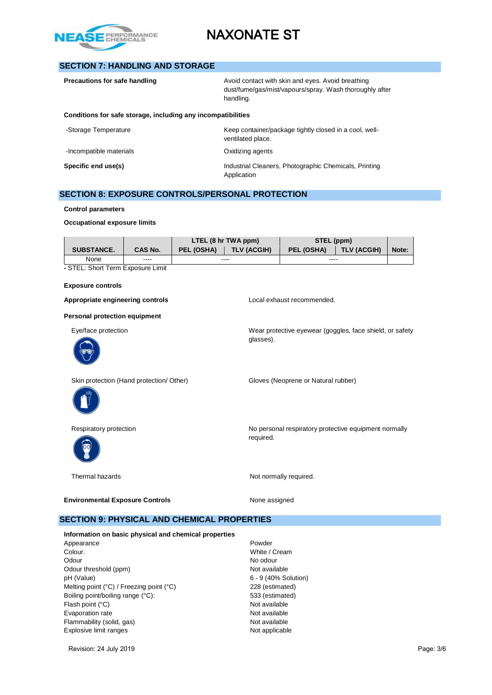

### **SECTION 7: HANDLING AND STORAGE**

| Precautions for safe handling                                | Avoid contact with skin and eyes. Avoid breathing<br>dust/fume/gas/mist/vapours/spray. Wash thoroughly after<br>handling. |
|--------------------------------------------------------------|---------------------------------------------------------------------------------------------------------------------------|
| Conditions for safe storage, including any incompatibilities |                                                                                                                           |
| -Storage Temperature                                         | Keep container/package tightly closed in a cool, well-<br>ventilated place.                                               |
| -Incompatible materials                                      | Oxidizing agents                                                                                                          |
| Specific end use(s)                                          | Industrial Cleaners, Photographic Chemicals, Printing                                                                     |

# **SECTION 8: EXPOSURE CONTROLS/PERSONAL PROTECTION**

**Control parameters**

**Occupational exposure limits**

|                   |                | LTEL (8 hr TWA ppm) |                    | STEL (ppm) |                    |       |
|-------------------|----------------|---------------------|--------------------|------------|--------------------|-------|
| <b>SUBSTANCE.</b> | <b>CAS No.</b> | <b>PEL (OSHA)</b>   | <b>TLV (ACGIH)</b> | PEL (OSHA) | <b>TLV (ACGIH)</b> | Note: |
| None              | ----           | ----                |                    | ----       |                    |       |

Application

**-** STEL: Short Term Exposure Limit

#### **Exposure controls**

Appropriate engineering controls **Appropriate engineering controls Local exhaust recommended.** 

glasses).

**Personal protection equipment**

Eye/face protection Wear protective eyewear (goggles, face shield, or safety







Skin protection (Hand protection/ Other) Gloves (Neoprene or Natural rubber)

Respiratory protection **No personal respiratory protective equipment normally** No personal respiratory protective equipment normally required.

Thermal hazards **Not normally required.** 

**Environmental Exposure Controls** Mone assigned

### **SECTION 9: PHYSICAL AND CHEMICAL PROPERTIES**

**Information on basic physical and chemical properties** Appearance **Powder** Colour. White / Cream Odour No odour Odour threshold (ppm) Not available pH (Value) 6 - 9 (40% Solution) Melting point (°C) / Freezing point (°C) 228 (estimated) Boiling point/boiling range (°C): 533 (estimated) Flash point (°C) <br>
Fyaporation rate Mot available<br>
Not available Evaporation rate Flammability (solid, gas) Not available Explosive limit ranges Not applicable

Revision: 24 July 2019 Page: 3/6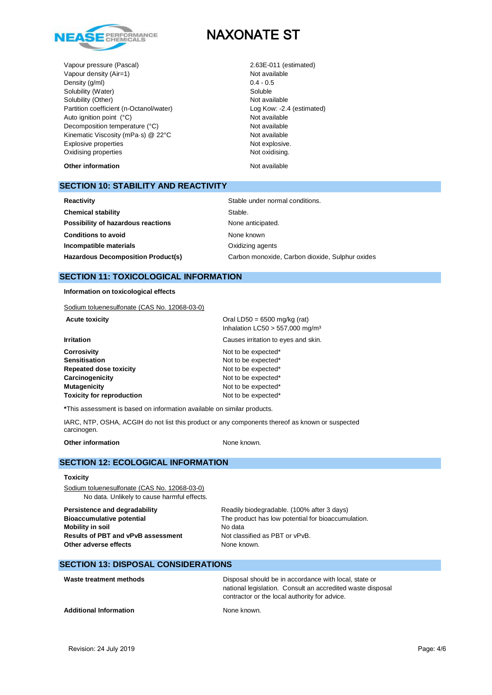

Vapour pressure (Pascal) 2.63E-011 (estimated) Vapour density  $(Air=1)$ <br>
Density  $(a/m)$ <br>  $0.4 - 0.5$ Density (g/ml) Solubility (Water) Soluble Solubility (Other) Not available Partition coefficient (n-Octanol/water) Log Kow: -2.4 (estimated) Auto ignition point (°C) Not available Decomposition temperature (°C) Not available Kinematic Viscosity (mPa·s) @ 22°C Not available Explosive properties and the state of the Not explosive. Oxidising properties Not oxidising.

**Other information** Not available

### **SECTION 10: STABILITY AND REACTIVITY**

| Reactivity                                | Stable under normal conditions.                 |  |  |
|-------------------------------------------|-------------------------------------------------|--|--|
| <b>Chemical stability</b>                 | Stable.                                         |  |  |
| Possibility of hazardous reactions        | None anticipated.                               |  |  |
| <b>Conditions to avoid</b>                | None known                                      |  |  |
| Incompatible materials                    | Oxidizing agents                                |  |  |
| <b>Hazardous Decomposition Product(s)</b> | Carbon monoxide, Carbon dioxide, Sulphur oxides |  |  |
|                                           |                                                 |  |  |

# **SECTION 11: TOXICOLOGICAL INFORMATION**

**Information on toxicological effects**

Sodium toluenesulfonate (CAS No. 12068-03-0)

| Sodium toluenesultonate (CAS No. 12068-03-0) |                                                                                 |
|----------------------------------------------|---------------------------------------------------------------------------------|
| <b>Acute toxicity</b>                        | Oral LD50 = $6500$ mg/kg (rat)<br>Inhalation LC50 $>$ 557,000 mg/m <sup>3</sup> |
| <b>Irritation</b>                            | Causes irritation to eyes and skin.                                             |
| <b>Corrosivity</b>                           | Not to be expected*                                                             |
| <b>Sensitisation</b>                         | Not to be expected*                                                             |
| <b>Repeated dose toxicity</b>                | Not to be expected*                                                             |
| Carcinogenicity                              | Not to be expected*                                                             |
| <b>Mutagenicity</b>                          | Not to be expected*                                                             |
| <b>Toxicity for reproduction</b>             | Not to be expected*                                                             |
|                                              |                                                                                 |

**\***This assessment is based on information available on similar products.

IARC, NTP, OSHA, ACGIH do not list this product or any components thereof as known or suspected carcinogen.

**Other information** None known.

#### **SECTION 12: ECOLOGICAL INFORMATION**

#### **Toxicity**

Sodium toluenesulfonate (CAS No. 12068-03-0) No data. Unlikely to cause harmful effects.

**Mobility in soil** No data **Results of PBT and vPvB assessment** Not classified as PBT or vPvB. **Other adverse effects** None known.

**Persistence and degradability** Readily biodegradable. (100% after 3 days) **Bioaccumulative potential** The product has low potential for bioaccumulation.

### **SECTION 13: DISPOSAL CONSIDERATIONS**

| Waste treatment methods       | Disposal should be in accordance with local, state or<br>national legislation. Consult an accredited waste disposal<br>contractor or the local authority for advice. |
|-------------------------------|----------------------------------------------------------------------------------------------------------------------------------------------------------------------|
| <b>Additional Information</b> | None known.                                                                                                                                                          |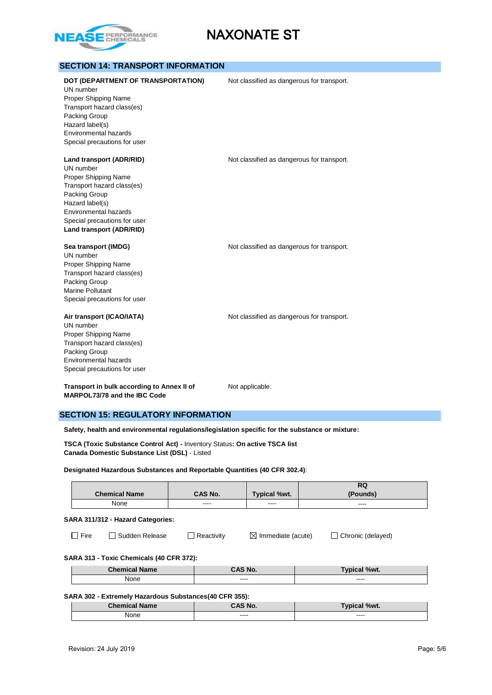

| <b>SECTION 14: TRANSPORT INFORMATION</b>                                                                                                                                                                             |                                            |
|----------------------------------------------------------------------------------------------------------------------------------------------------------------------------------------------------------------------|--------------------------------------------|
| DOT (DEPARTMENT OF TRANSPORTATION)<br>UN number<br>Proper Shipping Name<br>Transport hazard class(es)<br>Packing Group<br>Hazard label(s)<br>Environmental hazards<br>Special precautions for user                   | Not classified as dangerous for transport. |
| Land transport (ADR/RID)<br>UN number<br>Proper Shipping Name<br>Transport hazard class(es)<br>Packing Group<br>Hazard label(s)<br>Environmental hazards<br>Special precautions for user<br>Land transport (ADR/RID) | Not classified as dangerous for transport. |
| Sea transport (IMDG)<br>UN number<br>Proper Shipping Name<br>Transport hazard class(es)<br>Packing Group<br><b>Marine Pollutant</b><br>Special precautions for user                                                  | Not classified as dangerous for transport. |
| Air transport (ICAO/IATA)<br>UN number<br>Proper Shipping Name<br>Transport hazard class(es)<br>Packing Group<br>Environmental hazards<br>Special precautions for user                                               | Not classified as dangerous for transport. |
| Transport in bulk according to Annex II of<br>MARPOL73/78 and the IBC Code                                                                                                                                           | Not applicable.                            |

### **SECTION 15: REGULATORY INFORMATION**

**Safety, health and environmental regulations/legislation specific for the substance or mixture:**

**TSCA (Toxic Substance Control Act) -** Inventory Status**: On active TSCA list Canada Domestic Substance List (DSL)** - Listed

**Designated Hazardous Substances and Reportable Quantities (40 CFR 302.4)**:

|                      |                |                     | D.C<br>n u |
|----------------------|----------------|---------------------|------------|
| <b>Chemical Name</b> | <b>CAS No.</b> | <b>Typical %wt.</b> | (Pounds)   |
| None                 | ----           | ----                | ----       |

**SARA 311/312 - Hazard Categories:**

| ۰.<br>w |  |
|---------|--|
|         |  |

 $\Box$  Fire  $\Box$  Sudden Release  $\Box$  Reactivity  $\Box$  Immediate (acute)  $\Box$  Chronic (delayed)

#### **SARA 313 - Toxic Chemicals (40 CFR 372):**

| <b>Chemical Name</b> | CAS No.           | Typical %wt.  |
|----------------------|-------------------|---------------|
| None                 | $\cdots$<br>----- | ----<br>----- |

#### **SARA 302 - Extremely Hazardous Substances(40 CFR 355):**

| <b>Chemical Name</b> | CAS No.       | Typical %wt.  |
|----------------------|---------------|---------------|
| <b>None</b>          | ----<br>----- | ----<br>----- |